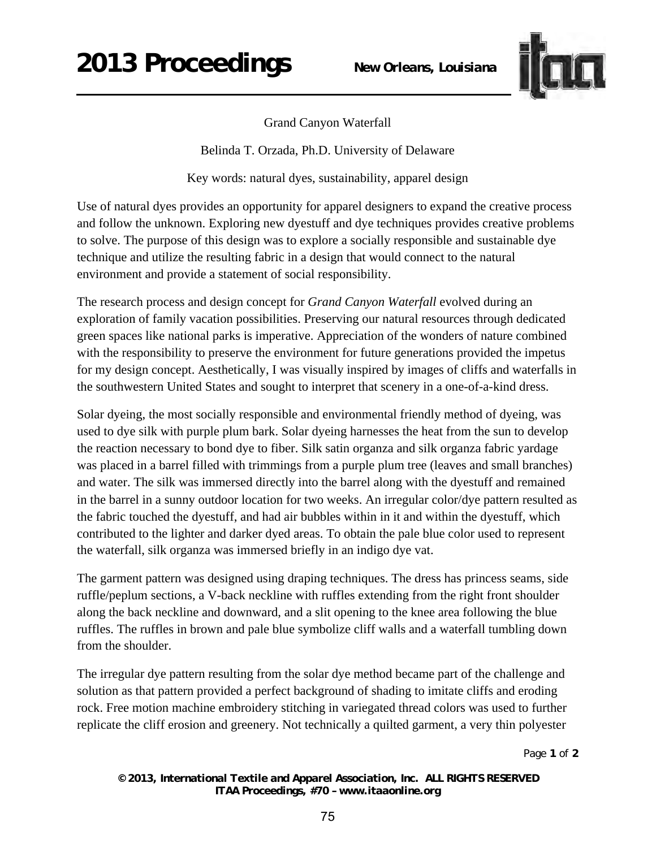

## Grand Canyon Waterfall

Belinda T. Orzada, Ph.D. University of Delaware

Key words: natural dyes, sustainability, apparel design

Use of natural dyes provides an opportunity for apparel designers to expand the creative process and follow the unknown. Exploring new dyestuff and dye techniques provides creative problems to solve. The purpose of this design was to explore a socially responsible and sustainable dye technique and utilize the resulting fabric in a design that would connect to the natural environment and provide a statement of social responsibility.

The research process and design concept for *Grand Canyon Waterfall* evolved during an exploration of family vacation possibilities. Preserving our natural resources through dedicated green spaces like national parks is imperative. Appreciation of the wonders of nature combined with the responsibility to preserve the environment for future generations provided the impetus for my design concept. Aesthetically, I was visually inspired by images of cliffs and waterfalls in the southwestern United States and sought to interpret that scenery in a one-of-a-kind dress.

Solar dyeing, the most socially responsible and environmental friendly method of dyeing, was used to dye silk with purple plum bark. Solar dyeing harnesses the heat from the sun to develop the reaction necessary to bond dye to fiber. Silk satin organza and silk organza fabric yardage was placed in a barrel filled with trimmings from a purple plum tree (leaves and small branches) and water. The silk was immersed directly into the barrel along with the dyestuff and remained in the barrel in a sunny outdoor location for two weeks. An irregular color/dye pattern resulted as the fabric touched the dyestuff, and had air bubbles within in it and within the dyestuff, which contributed to the lighter and darker dyed areas. To obtain the pale blue color used to represent the waterfall, silk organza was immersed briefly in an indigo dye vat.

The garment pattern was designed using draping techniques. The dress has princess seams, side ruffle/peplum sections, a V-back neckline with ruffles extending from the right front shoulder along the back neckline and downward, and a slit opening to the knee area following the blue ruffles. The ruffles in brown and pale blue symbolize cliff walls and a waterfall tumbling down from the shoulder.

The irregular dye pattern resulting from the solar dye method became part of the challenge and solution as that pattern provided a perfect background of shading to imitate cliffs and eroding rock. Free motion machine embroidery stitching in variegated thread colors was used to further replicate the cliff erosion and greenery. Not technically a quilted garment, a very thin polyester

Page **1** of **2** 

*© 2013, International Textile and Apparel Association, Inc. ALL RIGHTS RESERVED ITAA Proceedings, #70 – www.itaaonline.org*